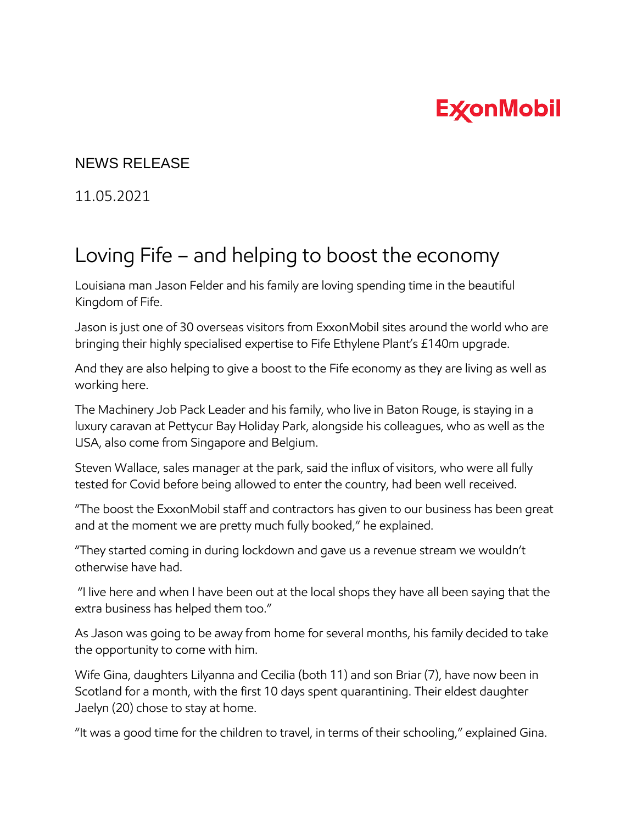## **ExconMobil**

## NEWS RELEASE

11.05.2021

## Loving Fife – and helping to boost the economy

Louisiana man Jason Felder and his family are loving spending time in the beautiful Kingdom of Fife.

Jason is just one of 30 overseas visitors from ExxonMobil sites around the world who are bringing their highly specialised expertise to Fife Ethylene Plant's £140m upgrade.

And they are also helping to give a boost to the Fife economy as they are living as well as working here.

The Machinery Job Pack Leader and his family, who live in Baton Rouge, is staying in a luxury caravan at Pettycur Bay Holiday Park, alongside his colleagues, who as well as the USA, also come from Singapore and Belgium.

Steven Wallace, sales manager at the park, said the influx of visitors, who were all fully tested for Covid before being allowed to enter the country, had been well received.

"The boost the ExxonMobil staff and contractors has given to our business has been great and at the moment we are pretty much fully booked," he explained.

"They started coming in during lockdown and gave us a revenue stream we wouldn't otherwise have had.

"I live here and when I have been out at the local shops they have all been saying that the extra business has helped them too."

As Jason was going to be away from home for several months, his family decided to take the opportunity to come with him.

Wife Gina, daughters Lilyanna and Cecilia (both 11) and son Briar (7), have now been in Scotland for a month, with the first 10 days spent quarantining. Their eldest daughter Jaelyn (20) chose to stay at home.

"It was a good time for the children to travel, in terms of their schooling," explained Gina.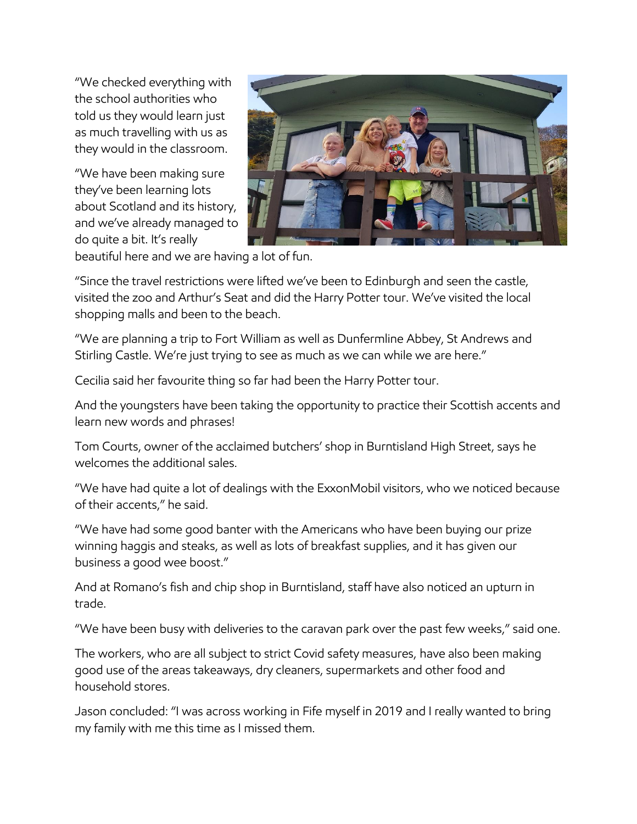"We checked everything with the school authorities who told us they would learn just as much travelling with us as they would in the classroom.

"We have been making sure they've been learning lots about Scotland and its history, and we've already managed to do quite a bit. It's really



beautiful here and we are having a lot of fun.

"Since the travel restrictions were lifted we've been to Edinburgh and seen the castle, visited the zoo and Arthur's Seat and did the Harry Potter tour. We've visited the local shopping malls and been to the beach.

"We are planning a trip to Fort William as well as Dunfermline Abbey, St Andrews and Stirling Castle. We're just trying to see as much as we can while we are here."

Cecilia said her favourite thing so far had been the Harry Potter tour.

And the youngsters have been taking the opportunity to practice their Scottish accents and learn new words and phrases!

Tom Courts, owner of the acclaimed butchers' shop in Burntisland High Street, says he welcomes the additional sales.

"We have had quite a lot of dealings with the ExxonMobil visitors, who we noticed because of their accents," he said.

"We have had some good banter with the Americans who have been buying our prize winning haggis and steaks, as well as lots of breakfast supplies, and it has given our business a good wee boost."

And at Romano's fish and chip shop in Burntisland, staff have also noticed an upturn in trade.

"We have been busy with deliveries to the caravan park over the past few weeks," said one.

The workers, who are all subject to strict Covid safety measures, have also been making good use of the areas takeaways, dry cleaners, supermarkets and other food and household stores.

Jason concluded: "I was across working in Fife myself in 2019 and I really wanted to bring my family with me this time as I missed them.